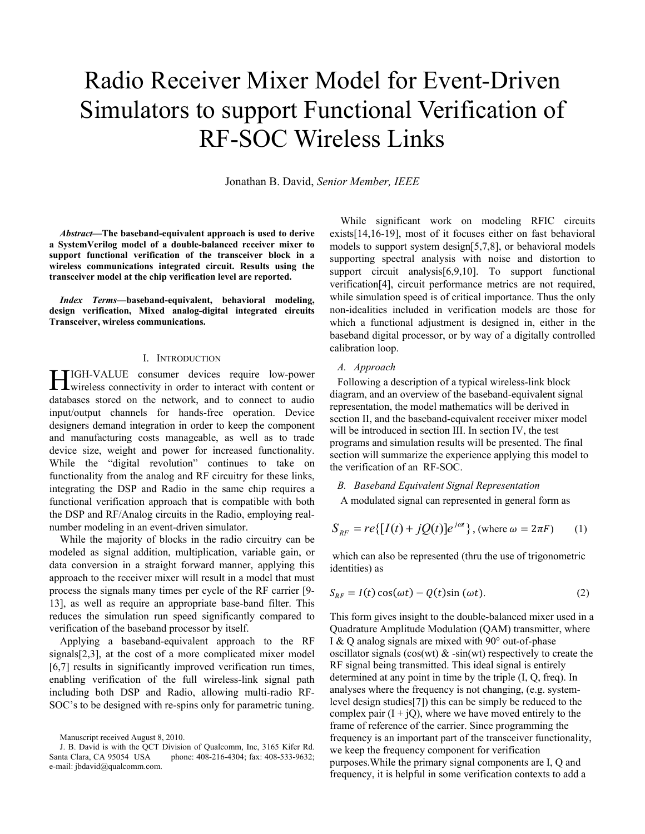# Radio Receiver Mixer Model for Event-Driven Simulators to support Functional Verification of RF-SOC Wireless Links

Jonathan B. David, *Senior Member, IEEE*

*Abstract***—The baseband-equivalent approach is used to derive a SystemVerilog model of a double-balanced receiver mixer to support functional verification of the transceiver block in a wireless communications integrated circuit. Results using the transceiver model at the chip verification level are reported.** 

*Index Terms***—baseband-equivalent, behavioral modeling, design verification, Mixed analog-digital integrated circuits Transceiver, wireless communications.** 

## I. INTRODUCTION

IGH-VALUE consumer devices require low-power HIGH-VALUE consumer devices require low-power<br>with content or to interact with content or databases stored on the network, and to connect to audio input/output channels for hands-free operation. Device designers demand integration in order to keep the component and manufacturing costs manageable, as well as to trade device size, weight and power for increased functionality. While the "digital revolution" continues to take on functionality from the analog and RF circuitry for these links, integrating the DSP and Radio in the same chip requires a functional verification approach that is compatible with both the DSP and RF/Analog circuits in the Radio, employing realnumber modeling in an event-driven simulator.

 While the majority of blocks in the radio circuitry can be modeled as signal addition, multiplication, variable gain, or data conversion in a straight forward manner, applying this approach to the receiver mixer will result in a model that must process the signals many times per cycle of the RF carrier [9- 13], as well as require an appropriate base-band filter. This reduces the simulation run speed significantly compared to verification of the baseband processor by itself.

 Applying a baseband-equivalent approach to the RF signals[2,3], at the cost of a more complicated mixer model [6,7] results in significantly improved verification run times, enabling verification of the full wireless-link signal path including both DSP and Radio, allowing multi-radio RF-SOC's to be designed with re-spins only for parametric tuning.

 While significant work on modeling RFIC circuits exists[14,16-19], most of it focuses either on fast behavioral models to support system design[5,7,8], or behavioral models supporting spectral analysis with noise and distortion to support circuit analysis[6,9,10]. To support functional verification[4], circuit performance metrics are not required, while simulation speed is of critical importance. Thus the only non-idealities included in verification models are those for which a functional adjustment is designed in, either in the baseband digital processor, or by way of a digitally controlled calibration loop.

# *A. Approach*

Following a description of a typical wireless-link block diagram, and an overview of the baseband-equivalent signal representation, the model mathematics will be derived in section II, and the baseband-equivalent receiver mixer model will be introduced in section III. In section IV, the test programs and simulation results will be presented. The final section will summarize the experience applying this model to the verification of an RF-SOC.

*B. Baseband Equivalent Signal Representation* 

A modulated signal can represented in general form as

$$
S_{RF} = re\{[I(t) + jQ(t)]e^{j\omega t}\}, \text{ (where } \omega = 2\pi F \text{)} \qquad (1)
$$

 which can also be represented (thru the use of trigonometric identities) as

$$
S_{RF} = I(t)\cos(\omega t) - Q(t)\sin(\omega t). \tag{2}
$$

This form gives insight to the double-balanced mixer used in a Quadrature Amplitude Modulation (QAM) transmitter, where I & Q analog signals are mixed with 90° out-of-phase oscillator signals (cos(wt)  $\&$  -sin(wt) respectively to create the RF signal being transmitted. This ideal signal is entirely determined at any point in time by the triple (I, Q, freq). In analyses where the frequency is not changing, (e.g. systemlevel design studies[7]) this can be simply be reduced to the complex pair  $(I + iQ)$ , where we have moved entirely to the frame of reference of the carrier. Since programming the frequency is an important part of the transceiver functionality, we keep the frequency component for verification purposes.While the primary signal components are I, Q and frequency, it is helpful in some verification contexts to add a

Manuscript received August 8, 2010.

J. B. David is with the QCT Division of Qualcomm, Inc, 3165 Kifer Rd. Santa Clara, CA 95054 USA phone: 408-216-4304; fax: 408-533-9632; e-mail: jbdavid@qualcomm.com.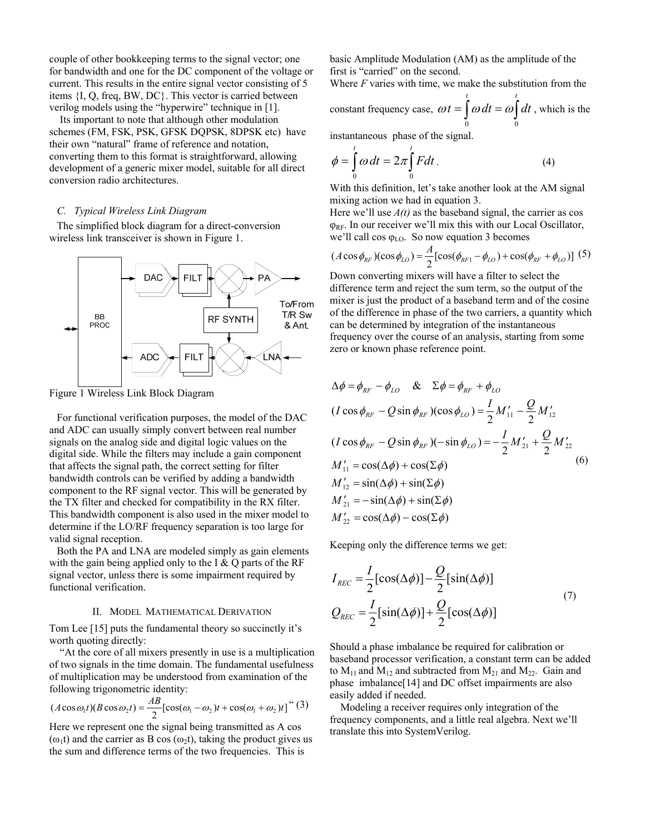couple of other bookkeeping terms to the signal vector; one for bandwidth and one for the DC component of the voltage or current. This results in the entire signal vector consisting of 5 items {I, Q, freq, BW, DC}. This vector is carried between verilog models using the "hyperwire" technique in [1].

 Its important to note that although other modulation schemes (FM, FSK, PSK, GFSK DQPSK, 8DPSK etc) have their own "natural" frame of reference and notation, converting them to this format is straightforward, allowing development of a generic mixer model, suitable for all direct conversion radio architectures.

# *C. Typical Wireless Link Diagram*

The simplified block diagram for a direct-conversion wireless link transceiver is shown in Figure 1.



Figure 1 Wireless Link Block Diagram

For functional verification purposes, the model of the DAC and ADC can usually simply convert between real number signals on the analog side and digital logic values on the digital side. While the filters may include a gain component that affects the signal path, the correct setting for filter bandwidth controls can be verified by adding a bandwidth component to the RF signal vector. This will be generated by the TX filter and checked for compatibility in the RX filter. This bandwidth component is also used in the mixer model to determine if the LO/RF frequency separation is too large for valid signal reception.

Both the PA and LNA are modeled simply as gain elements with the gain being applied only to the I  $\&$  Q parts of the RF signal vector, unless there is some impairment required by functional verification.

## II. MODEL MATHEMATICAL DERIVATION

Tom Lee [15] puts the fundamental theory so succinctly it's worth quoting directly:

 "At the core of all mixers presently in use is a multiplication of two signals in the time domain. The fundamental usefulness of multiplication may be understood from examination of the following trigonometric identity:

$$
(A\cos\omega_1 t)(B\cos\omega_2 t) = \frac{AB}{2} [\cos(\omega_1 - \omega_2)t + \cos(\omega_1 + \omega_2)t]^{\text{``}}(3)
$$

Here we represent one the signal being transmitted as A cos ( $\omega_1$ t) and the carrier as B cos ( $\omega_2$ t), taking the product gives us the sum and difference terms of the two frequencies. This is

basic Amplitude Modulation (AM) as the amplitude of the first is "carried" on the second.

Where *F* varies with time, we make the substitution from the constant frequency case,  $\omega t = \int \omega dt = \omega \int$ *t t*  $t = |\omega| dt = \omega | dt$ 0 0  $\omega t = |\omega| dt = |\omega| dt$ , which is the

instantaneous phase of the signal.

$$
\phi = \int_{0}^{t} \omega dt = 2\pi \int_{0}^{t} Fdt.
$$
\n(4)

With this definition, let's take another look at the AM signal mixing action we had in equation 3.

Here we'll use  $A(t)$  as the baseband signal, the carrier as cos  $\varphi_{RF}$ . In our receiver we'll mix this with our Local Oscillator, we'll call cos  $\varphi$ <sub>LO</sub>. So now equation 3 becomes

$$
(A\cos\phi_{RF})(\cos\phi_{LO}) = \frac{A}{2} [\cos(\phi_{RF1} - \phi_{LO}) + \cos(\phi_{RF} + \phi_{LO})]
$$
 (5)

Down converting mixers will have a filter to select the difference term and reject the sum term, so the output of the mixer is just the product of a baseband term and of the cosine of the difference in phase of the two carriers, a quantity which can be determined by integration of the instantaneous frequency over the course of an analysis, starting from some zero or known phase reference point.

$$
\Delta \phi = \phi_{RF} - \phi_{LO} \& \Sigma \phi = \phi_{RF} + \phi_{LO}
$$
  
( $I \cos \phi_{RF} - Q \sin \phi_{RF}$ )( $\cos \phi_{LO}$ ) =  $\frac{I}{2} M'_{11} - \frac{Q}{2} M'_{12}$   
( $I \cos \phi_{RF} - Q \sin \phi_{RF}$ )( $-\sin \phi_{LO}$ ) =  $-\frac{I}{2} M'_{21} + \frac{Q}{2} M'_{22}$   
 $M'_{11} = \cos(\Delta \phi) + \cos(\Sigma \phi)$   
 $M'_{12} = \sin(\Delta \phi) + \sin(\Sigma \phi)$   
 $M'_{21} = -\sin(\Delta \phi) + \sin(\Sigma \phi)$   
 $M'_{22} = \cos(\Delta \phi) - \cos(\Sigma \phi)$ 

Keeping only the difference terms we get:

$$
I_{REC} = \frac{I}{2} [\cos(\Delta \phi)] - \frac{Q}{2} [\sin(\Delta \phi)]
$$
  

$$
Q_{REC} = \frac{I}{2} [\sin(\Delta \phi)] + \frac{Q}{2} [\cos(\Delta \phi)]
$$
 (7)

Should a phase imbalance be required for calibration or baseband processor verification, a constant term can be added to  $M_{11}$  and  $M_{12}$  and subtracted from  $M_{21}$  and  $M_{22}$ . Gain and phase imbalance[14] and DC offset impairments are also easily added if needed.

 Modeling a receiver requires only integration of the frequency components, and a little real algebra. Next we'll translate this into SystemVerilog.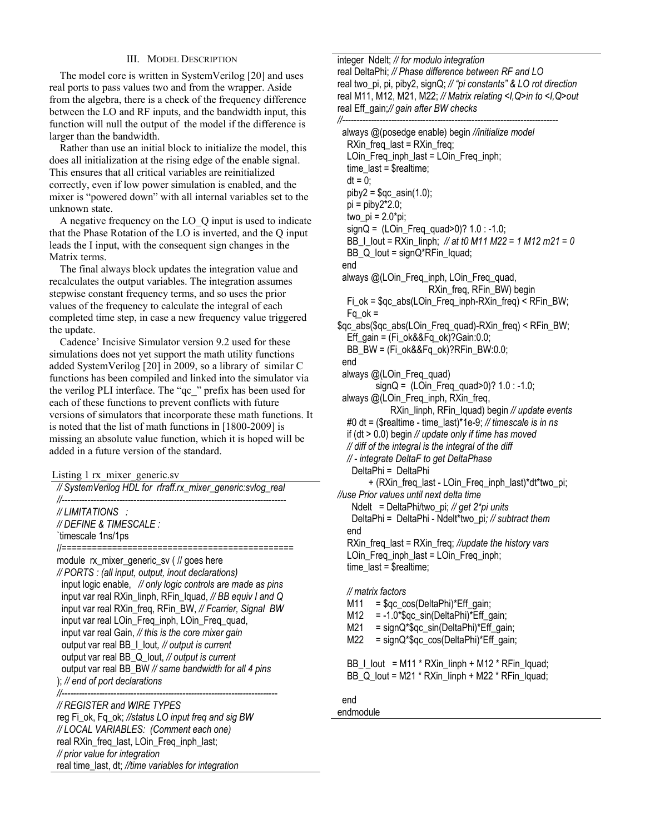# III. MODEL DESCRIPTION

 The model core is written in SystemVerilog [20] and uses real ports to pass values two and from the wrapper. Aside from the algebra, there is a check of the frequency difference between the LO and RF inputs, and the bandwidth input, this function will null the output of the model if the difference is larger than the bandwidth.

 Rather than use an initial block to initialize the model, this does all initialization at the rising edge of the enable signal. This ensures that all critical variables are reinitialized correctly, even if low power simulation is enabled, and the mixer is "powered down" with all internal variables set to the unknown state.

 A negative frequency on the LO\_Q input is used to indicate that the Phase Rotation of the LO is inverted, and the Q input leads the I input, with the consequent sign changes in the Matrix terms.

 The final always block updates the integration value and recalculates the output variables. The integration assumes stepwise constant frequency terms, and so uses the prior values of the frequency to calculate the integral of each completed time step, in case a new frequency value triggered the update.

 Cadence' Incisive Simulator version 9.2 used for these simulations does not yet support the math utility functions added SystemVerilog [20] in 2009, so a library of similar C functions has been compiled and linked into the simulator via the verilog PLI interface. The "qc\_" prefix has been used for each of these functions to prevent conflicts with future versions of simulators that incorporate these math functions. It is noted that the list of math functions in [1800-2009] is missing an absolute value function, which it is hoped will be added in a future version of the standard.

Listing 1 rx\_mixer\_generic.sv

| // SystemVerilog HDL for rfraff.rx_mixer_generic:svlog_real                                                                                                                                                                                                                                                                                                                                                                                                                                                                                                                                                                     |
|---------------------------------------------------------------------------------------------------------------------------------------------------------------------------------------------------------------------------------------------------------------------------------------------------------------------------------------------------------------------------------------------------------------------------------------------------------------------------------------------------------------------------------------------------------------------------------------------------------------------------------|
| //LIMITATIONS :<br>// DEFINE & TIMESCALE :<br>'timescale 1ns/1ps<br>//=============================                                                                                                                                                                                                                                                                                                                                                                                                                                                                                                                             |
| module rx_mixer_generic_sv ( // goes here<br>// PORTS: (all input, output, inout declarations)<br>input logic enable, // only logic controls are made as pins<br>input var real RXin_linph, RFin_lquad, // BB equiv I and Q<br>input var real RXin freq, RFin BW, // Fcarrier, Signal BW<br>input var real LOin_Freq_inph, LOin_Freq_quad,<br>input var real Gain, // this is the core mixer gain<br>output var real BB_I_lout, // output is current<br>output var real BB_Q_lout, // output is current<br>output var real BB BW // same bandwidth for all 4 pins<br>$\chi$ ; // end of port declarations<br>------------------ |
| // REGISTER and WIRE TYPES<br>reg Fi ok Fo ok: //status I Q input freg and sig BW                                                                                                                                                                                                                                                                                                                                                                                                                                                                                                                                               |

reg Fi\_ok, Fq\_ok; *//status LO input freq and sig BW // LOCAL VARIABLES: (Comment each one)*  real RXin\_freq\_last, LOin\_Freq\_inph\_last; *// prior value for integration*  real time\_last, dt; *//time variables for integration*

integer Ndelt; *// for modulo integration*

real DeltaPhi; *// Phase difference between RF and LO* real two\_pi, pi, piby2, signQ; *// "pi constants" & LO rot direction* real M11, M12, M21, M22; *// Matrix relating <I,Q>in to <I,Q>out* real Eff\_gain;*// gain after BW checks* 

*//--------------------------------------------------------------------------*  always @(posedge enable) begin *//initialize model* RXin freq last = RXin freq; LOin\_Freq\_inph\_last = LOin\_Freq\_inph; time  $last =$  \$realtime;  $dt = 0$ :  $piby2 = $qc_asin(1.0);$  $pi = piby2*2.0$ ; two  $pi = 2.0$ \*pi; signQ = (LOin\_Freq\_quad>0)? 1.0 : -1.0; BB\_I\_Iout = RXin\_Iinph; *// at t0 M11 M22 = 1 M12 m21 = 0* BB\_Q\_Iout = signQ\*RFin\_Iquad; end always @(LOin Freq inph, LOin Freq quad, RXin\_freq, RFin\_BW) begin Fi\_ok = \$qc\_abs(LOin\_Freq\_inph-RXin\_freq) < RFin\_BW;  $Fq$ <sub>\_O</sub> $k =$  $q$ gc\_abs( $q$ gc\_abs(LOin\_Freq\_quad)-RXin\_freq) < RFin\_BW; Eff\_gain =  $(Fi \, ok\&&Fq \, ok)$ ?Gain:0.0; BB\_BW = (Fi\_ok&&Fq\_ok)?RFin\_BW:0.0; end always @(LOin Freq quad)  $signQ = (LOin \text{Freq quad} > 0)$ ? 1.0 : -1.0; always @(LOin\_Freq\_inph, RXin\_freq, RXin\_Iinph, RFin\_Iquad) begin *// update events* #0 dt = (\$realtime - time\_last)\*1e-9; *// timescale is in ns* if (dt > 0.0) begin *// update only if time has moved // diff of the integral is the integral of the diff // - integrate DeltaF to get DeltaPhase*  DeltaPhi = DeltaPhi + (RXin\_freq\_last - LOin\_Freq\_inph\_last)\*dt\*two\_pi; *//use Prior values until next delta time*  Ndelt = DeltaPhi/two\_pi; *// get 2\*pi units*  DeltaPhi = DeltaPhi - Ndelt\*two\_pi*; // subtract them* end RXin\_freq\_last = RXin\_freq; *//update the history vars*  LOin\_Freq\_inph\_last = LOin\_Freq\_inph; time  $last =$  \$realtime;  *// matrix factors*  M11 =  $q$ gc cos(DeltaPhi)\*Eff gain; M12 = -1.0\*\$qc\_sin(DeltaPhi)\*Eff\_gain;  $M21$  = signQ\*\$gc\_sin(DeltaPhi)\*Eff\_gain; M22 = signQ\*\$qc\_cos(DeltaPhi)\*Eff\_gain;

BB I lout = M11 \* RXin linph + M12 \* RFin Iquad; BB\_Q\_Iout = M21 \* RXin\_Iinph + M22 \* RFin\_Iquad;

end

# endmodule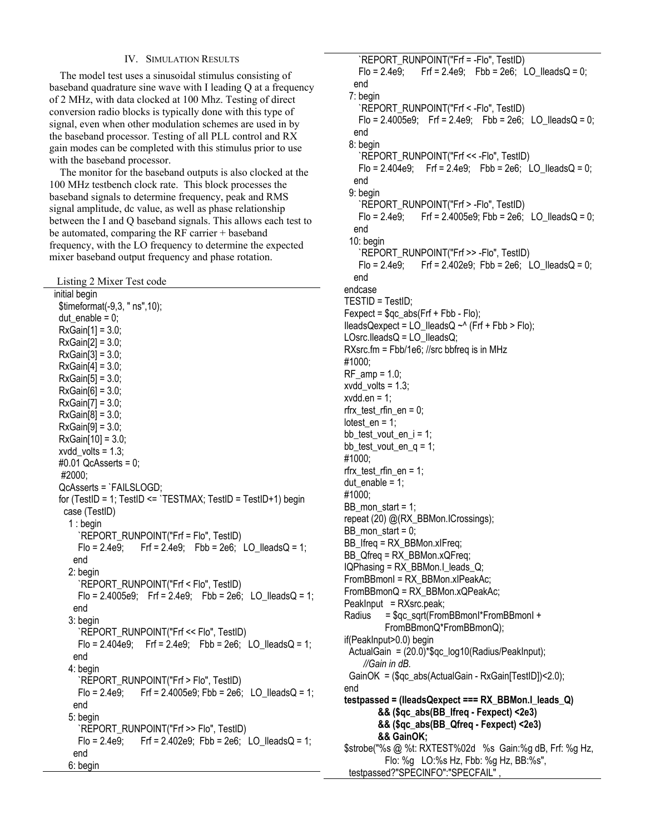# IV. SIMULATION RESULTS

 The model test uses a sinusoidal stimulus consisting of baseband quadrature sine wave with I leading Q at a frequency of 2 MHz, with data clocked at 100 Mhz. Testing of direct conversion radio blocks is typically done with this type of signal, even when other modulation schemes are used in by the baseband processor. Testing of all PLL control and RX gain modes can be completed with this stimulus prior to use with the baseband processor.

 The monitor for the baseband outputs is also clocked at the 100 MHz testbench clock rate. This block processes the baseband signals to determine frequency, peak and RMS signal amplitude, dc value, as well as phase relationship between the I and Q baseband signals. This allows each test to be automated, comparing the RF carrier + baseband frequency, with the LO frequency to determine the expected mixer baseband output frequency and phase rotation.

Listing 2 Mixer Test code

 initial begin \$timeformat(-9,3, " ns",10);  $du$  enable = 0;  $RxGain[1] = 3.0;$  RxGain[2] = 3.0;  $RxGain[3] = 3.0;$  $RxGain[4] = 3.0;$  $RxGain[5] = 3.0$ ;  $RxGain[6] = 3.0;$  $RxGain[7] = 3.0$ ;  $RxGain[8] = 3.0;$  $RxGain[9] = 3.0;$  $RxGain[10] = 3.0;$ xvdd volts =  $1.3$ ; #0.01 QcAsserts = 0; #2000; QcAsserts = `FAILSLOGD; for (TestID = 1; TestID <=  $TESTMAX$ ; TestID = TestID+1) begin case (TestID) 1 : begin `REPORT\_RUNPOINT("Frf = Flo", TestID)  $F$ lo = 2.4e9; Frf = 2.4e9; Fbb = 2e6; LO\_IleadsQ = 1; end 2: begin `REPORT\_RUNPOINT("Frf < Flo", TestID) Flo =  $2.4005e9$ ; Frf =  $2.4e9$ ; Fbb =  $2e6$ ; LO\_IleadsQ = 1; end 3: begin `REPORT\_RUNPOINT("Frf << Flo", TestID) Flo =  $2.404e9$ ; Frf =  $2.4e9$ ; Fbb =  $2e6$ ; LO\_IleadsQ = 1; end 4: begin `REPORT\_RUNPOINT("Frf > Flo", TestID) Flo = 2.4e9; Frf = 2.4005e9; Fbb = 2e6; LO IleadsQ = 1; end 5: begin `REPORT\_RUNPOINT("Frf >> Flo", TestID) Flo =  $2.4e9$ ; Frf =  $2.402e9$ ; Fbb =  $2e6$ ; LO\_IleadsQ = 1; end 6: begin

 `REPORT\_RUNPOINT("Frf = -Flo", TestID) Flo = 2.4e9; Frf = 2.4e9; Fbb = 2e6; LO IleadsQ = 0; end 7: begin `REPORT\_RUNPOINT("Frf < -Flo", TestID) Flo =  $2.4005e9$ ; Frf =  $2.4e9$ ; Fbb =  $2e6$ ; LO IleadsQ = 0; end 8: begin `REPORT\_RUNPOINT("Frf << -Flo", TestID) Flo =  $2.404e9$ ; Frf =  $2.4e9$ ; Fbb =  $2e6$ ; LO IleadsQ = 0; end 9: begin `REPORT\_RUNPOINT("Frf > -Flo", TestID) Flo = 2.4e9; Frf = 2.4005e9; Fbb = 2e6; LO IleadsQ = 0; end 10: begin `REPORT\_RUNPOINT("Frf >> -Flo", TestID) Flo = 2.4e9; Frf = 2.402e9; Fbb = 2e6; LO IleadsQ = 0; end endcase TESTID = TestID;  $F$ expect =  $q_c$ \_abs( $F$ rf +  $F$ bb -  $F$ lo); IleadsQexpect = LO IleadsQ  $~\sim$  (Frf + Fbb > Flo);  $LOsrc. \nparallel \node[0.15cm]{0.15cm}}\n$ leads $Q$ ; RXsrc.fm = Fbb/1e6; //src bbfreq is in MHz #1000; RF  $amp = 1.0$ ;  $xvdd$  volts = 1.3;  $xvdd.en = 1$ ; rfrx test rfin  $en = 0$ ; lotest  $en = 1$ ; bb\_test\_vout\_en\_i = 1; bb\_test\_vout\_en\_q =  $1$ ; #1000; rfrx\_test\_rfin\_en = 1; dut enable =  $1$ ; #1000; BB mon start = 1; repeat (20) @(RX\_BBMon.ICrossings); BB mon start =  $0$ ; BB\_Ifreq = RX\_BBMon.xIFreq; BB\_Qfreq = RX\_BBMon.xQFreq; IQPhasing = RX\_BBMon.I\_leads\_Q; FromBBmonI = RX\_BBMon.xIPeakAc; FromBBmonQ = RX\_BBMon.xQPeakAc; PeakInput = RXsrc.peak; Radius = \$qc\_sqrt(FromBBmonI\*FromBBmonI + FromBBmonQ\*FromBBmonQ); if(PeakInput>0.0) begin ActualGain = (20.0)\*\$qc\_log10(Radius/PeakInput); *//Gain in dB.*  GainOK = (\$qc\_abs(ActualGain - RxGain[TestID])<2.0); end  **testpassed = (IleadsQexpect === RX\_BBMon.I\_leads\_Q) && (\$qc\_abs(BB\_Ifreq - Fexpect) <2e3) && (\$qc\_abs(BB\_Qfreq - Fexpect) <2e3) && GainOK;**  \$strobe("%s @ %t: RXTEST%02d %s Gain:%g dB, Frf: %g Hz, Flo: %g LO:%s Hz, Fbb: %g Hz, BB:%s", testpassed?"SPECINFO":"SPECFAIL"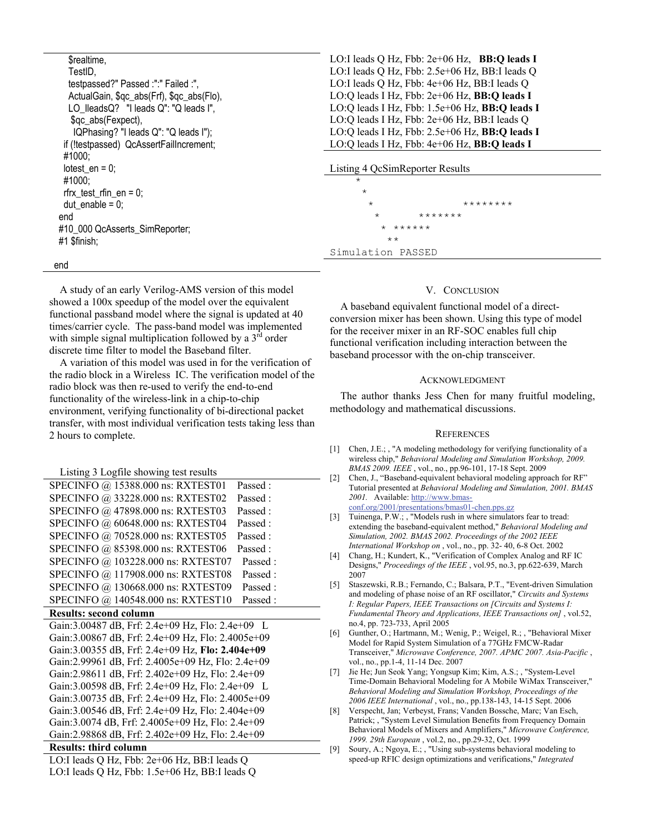| \$realtime.                               |  |
|-------------------------------------------|--|
| TestID,                                   |  |
| testpassed?" Passed :":" Failed :",       |  |
| ActualGain, \$qc_abs(Frf), \$qc_abs(Flo), |  |
| LO_lleadsQ? "I leads Q": "Q leads I",     |  |
| \$qc_abs(Fexpect),                        |  |
| IQPhasing? "I leads Q": "Q leads I");     |  |
| if (!testpassed) QcAssertFailIncrement;   |  |
| #1000:                                    |  |
| lotest $en = 0$ ;                         |  |
| #1000:                                    |  |
| rfrx test rfin en = 0;                    |  |
| dut enable = $0$ ;                        |  |
| end                                       |  |
| #10 000 QcAsserts_SimReporter;            |  |
| #1 \$finish:                              |  |

LO:I leads Q Hz, Fbb: 2e+06 Hz, **BB:Q leads I** LO:I leads Q Hz, Fbb: 2.5e+06 Hz, BB:I leads Q LO:I leads Q Hz, Fbb: 4e+06 Hz, BB:I leads Q LO:Q leads I Hz, Fbb: 2e+06 Hz, **BB:Q leads I** LO:Q leads I Hz, Fbb: 1.5e+06 Hz, **BB:Q leads I** LO:Q leads I Hz, Fbb: 2e+06 Hz, BB:I leads Q LO:Q leads I Hz, Fbb: 2.5e+06 Hz, **BB:Q leads I** LO:Q leads I Hz, Fbb: 4e+06 Hz, **BB:Q leads I**

#### Listing 4 QcSimReporter Results

 $\star$ 

 $\star$ \* \* \*\*\*\*\*\*\*\*\* \* \*\*\*\*\*\*\* \* \*\*\*\*\*\* \*\* Simulation PASSED

#### end

 A study of an early Verilog-AMS version of this model showed a 100x speedup of the model over the equivalent functional passband model where the signal is updated at 40 times/carrier cycle. The pass-band model was implemented with simple signal multiplication followed by a  $3<sup>rd</sup>$  order discrete time filter to model the Baseband filter.

 A variation of this model was used in for the verification of the radio block in a Wireless IC. The verification model of the radio block was then re-used to verify the end-to-end functionality of the wireless-link in a chip-to-chip environment, verifying functionality of bi-directional packet transfer, with most individual verification tests taking less than 2 hours to complete.

Listing 3 Logfile showing test results

| SPECINFO @ 15388.000 ns: RXTEST01  | Passed: |
|------------------------------------|---------|
| SPECINFO @ 33228.000 ns: RXTEST02  | Passed: |
| SPECINFO @ 47898.000 ns: RXTEST03  | Passed: |
| SPECINFO @ 60648.000 ns: RXTEST04  | Passed: |
| SPECINFO @ 70528.000 ns: RXTEST05  | Passed: |
| SPECINFO @ 85398.000 ns: RXTEST06  | Passed: |
| SPECINFO @ 103228.000 ns: RXTEST07 | Passed: |
| SPECINFO @ 117908.000 ns: RXTEST08 | Passed: |
| SPECINFO @ 130668.000 ns: RXTEST09 | Passed: |
| SPECINFO @ 140548.000 ns: RXTEST10 | Passed: |

## **Results: second column**

```
Gain:3.00487 dB, Frf: 2.4e+09 Hz, Flo: 2.4e+09 L 
Gain:3.00867 dB, Frf: 2.4e+09 Hz, Flo: 2.4005e+09 
Gain:3.00355 dB, Frf: 2.4e+09 Hz, Flo: 2.404e+09 
Gain:2.99961 dB, Frf: 2.4005e+09 Hz, Flo: 2.4e+09 
Gain:2.98611 dB, Frf: 2.402e+09 Hz, Flo: 2.4e+09 
Gain:3.00598 dB, Frf: 2.4e+09 Hz, Flo: 2.4e+09 L 
Gain:3.00735 dB, Frf: 2.4e+09 Hz, Flo: 2.4005e+09 
Gain:3.00546 dB, Frf: 2.4e+09 Hz, Flo: 2.404e+09 
Gain:3.0074 dB, Frf: 2.4005e+09 Hz, Flo: 2.4e+09 
Gain:2.98868 dB, Frf: 2.402e+09 Hz, Flo: 2.4e+09
```
# **Results: third column**

LO:I leads Q Hz, Fbb: 2e+06 Hz, BB:I leads Q

LO:I leads Q Hz, Fbb: 1.5e+06 Hz, BB:I leads Q

# V. CONCLUSION

 A baseband equivalent functional model of a directconversion mixer has been shown. Using this type of model for the receiver mixer in an RF-SOC enables full chip functional verification including interaction between the baseband processor with the on-chip transceiver.

#### ACKNOWLEDGMENT

The author thanks Jess Chen for many fruitful modeling, methodology and mathematical discussions.

#### **REFERENCES**

- [1] Chen, J.E.; , "A modeling methodology for verifying functionality of a wireless chip," *Behavioral Modeling and Simulation Workshop, 2009. BMAS 2009. IEEE* , vol., no., pp.96-101, 17-18 Sept. 2009
- [2] Chen, J., "Baseband-equivalent behavioral modeling approach for RF" Tutorial presented at *Behavioral Modeling and Simulation, 2001. BMAS 2001.* Available: http://www.bmasconf.org/2001/presentations/bmas01-chen.pps.gz
- [3] Tuinenga, P.W.; , "Models rush in where simulators fear to tread: extending the baseband-equivalent method," *Behavioral Modeling and Simulation, 2002. BMAS 2002. Proceedings of the 2002 IEEE International Workshop on* , vol., no., pp. 32- 40, 6-8 Oct. 2002
- [4] Chang, H.; Kundert, K., "Verification of Complex Analog and RF IC Designs," *Proceedings of the IEEE* , vol.95, no.3, pp.622-639, March 2007
- [5] Staszewski, R.B.; Fernando, C.; Balsara, P.T., "Event-driven Simulation and modeling of phase noise of an RF oscillator," *Circuits and Systems I: Regular Papers, IEEE Transactions on [Circuits and Systems I: Fundamental Theory and Applications, IEEE Transactions on]* , vol.52, no.4, pp. 723-733, April 2005
- [6] Gunther, O.; Hartmann, M.; Wenig, P.; Weigel, R.; , "Behavioral Mixer Model for Rapid System Simulation of a 77GHz FMCW-Radar Transceiver," *Microwave Conference, 2007. APMC 2007. Asia-Pacific* , vol., no., pp.1-4, 11-14 Dec. 2007
- [7] Jie He; Jun Seok Yang; Yongsup Kim; Kim, A.S.; , "System-Level Time-Domain Behavioral Modeling for A Mobile WiMax Transceiver," *Behavioral Modeling and Simulation Workshop, Proceedings of the 2006 IEEE International* , vol., no., pp.138-143, 14-15 Sept. 2006
- [8] Verspecht, Jan; Verbeyst, Frans; Vanden Bossche, Marc; Van Esch, Patrick; , "System Level Simulation Benefits from Frequency Domain Behavioral Models of Mixers and Amplifiers," *Microwave Conference, 1999. 29th European* , vol.2, no., pp.29-32, Oct. 1999
- [9] Soury, A.; Ngoya, E.; , "Using sub-systems behavioral modeling to speed-up RFIC design optimizations and verifications," *Integrated*